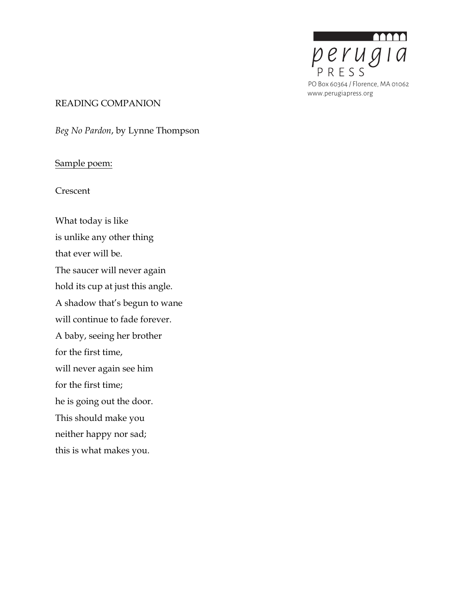

#### READING COMPANION

*Beg No Pardon*, by Lynne Thompson

### Sample poem:

Crescent

What today is like is unlike any other thing that ever will be. The saucer will never again hold its cup at just this angle. A shadow that's begun to wane will continue to fade forever. A baby, seeing her brother for the first time, will never again see him for the first time; he is going out the door. This should make you neither happy nor sad; this is what makes you.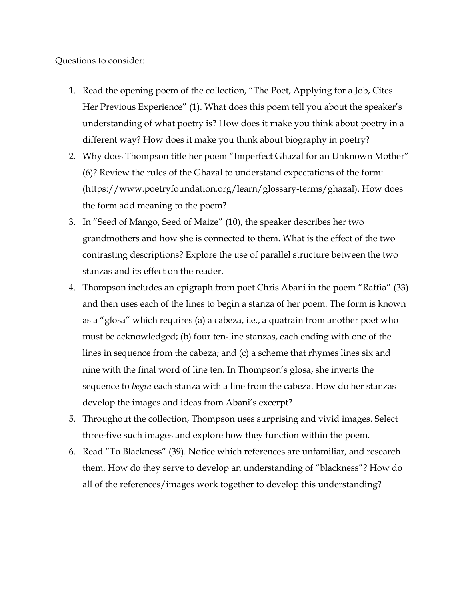#### Questions to consider:

- 1. Read the opening poem of the collection, "The Poet, Applying for a Job, Cites Her Previous Experience" (1). What does this poem tell you about the speaker's understanding of what poetry is? How does it make you think about poetry in a different way? How does it make you think about biography in poetry?
- 2. Why does Thompson title her poem "Imperfect Ghazal for an Unknown Mother" (6)? Review the rules of the Ghazal to understand expectations of the form: (https://www.poetryfoundation.org/learn/glossary-terms/ghazal). How does the form add meaning to the poem?
- 3. In "Seed of Mango, Seed of Maize" (10), the speaker describes her two grandmothers and how she is connected to them. What is the effect of the two contrasting descriptions? Explore the use of parallel structure between the two stanzas and its effect on the reader.
- 4. Thompson includes an epigraph from poet Chris Abani in the poem "Raffia" (33) and then uses each of the lines to begin a stanza of her poem. The form is known as a "glosa" which requires (a) a cabeza, i.e., a quatrain from another poet who must be acknowledged; (b) four ten-line stanzas, each ending with one of the lines in sequence from the cabeza; and (c) a scheme that rhymes lines six and nine with the final word of line ten. In Thompson's glosa, she inverts the sequence to *begin* each stanza with a line from the cabeza. How do her stanzas develop the images and ideas from Abani's excerpt?
- 5. Throughout the collection, Thompson uses surprising and vivid images. Select three-five such images and explore how they function within the poem.
- 6. Read "To Blackness" (39). Notice which references are unfamiliar, and research them. How do they serve to develop an understanding of "blackness"? How do all of the references/images work together to develop this understanding?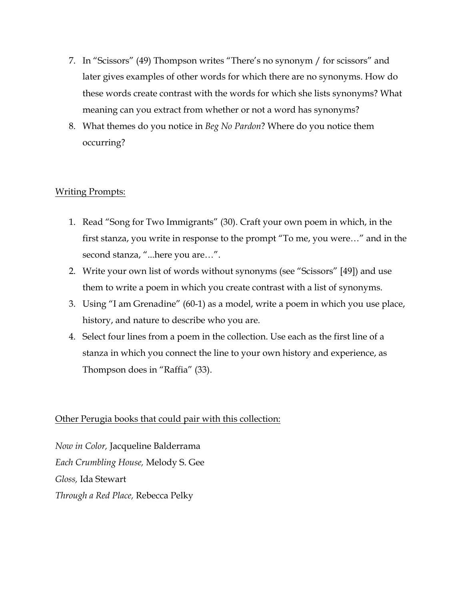- 7. In "Scissors" (49) Thompson writes "There's no synonym / for scissors" and later gives examples of other words for which there are no synonyms. How do these words create contrast with the words for which she lists synonyms? What meaning can you extract from whether or not a word has synonyms?
- 8. What themes do you notice in *Beg No Pardon*? Where do you notice them occurring?

## Writing Prompts:

- 1. Read "Song for Two Immigrants" (30). Craft your own poem in which, in the first stanza, you write in response to the prompt "To me, you were…" and in the second stanza, "...here you are…".
- 2. Write your own list of words without synonyms (see "Scissors" [49]) and use them to write a poem in which you create contrast with a list of synonyms.
- 3. Using "I am Grenadine" (60-1) as a model, write a poem in which you use place, history, and nature to describe who you are.
- 4. Select four lines from a poem in the collection. Use each as the first line of a stanza in which you connect the line to your own history and experience, as Thompson does in "Raffia" (33).

## Other Perugia books that could pair with this collection:

*Now in Color,* Jacqueline Balderrama *Each Crumbling House,* Melody S. Gee *Gloss,* Ida Stewart *Through a Red Place,* Rebecca Pelky